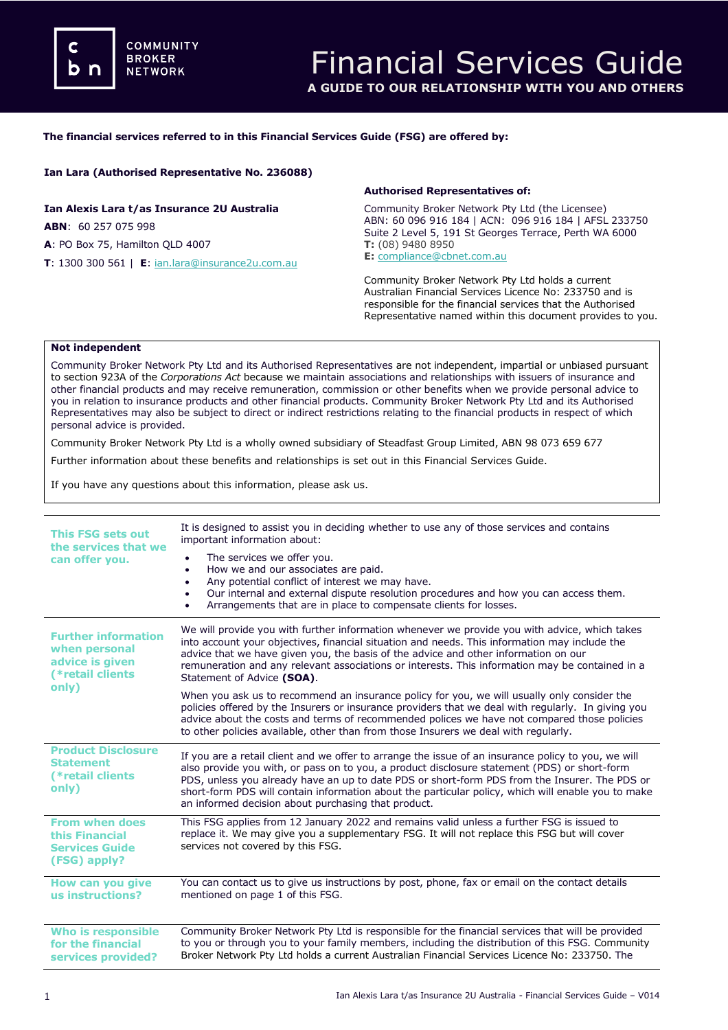#### **The financial services referred to in this Financial Services Guide (FSG) are offered by:**

## **Ian Lara (Authorised Representative No. 236088)**

**Ian Alexis Lara t/as Insurance 2U Australia ABN**: 60 257 075 998 **A**: PO Box 75, Hamilton QLD 4007 **T**: 1300 300 561 | **E**: [ian.lara@insurance2u.com.au](mailto:meena@dataprivacyinsurance.com.au)

#### **Authorised Representatives of:**

Community Broker Network Pty Ltd (the Licensee) ABN: 60 096 916 184 | ACN: 096 916 184 | AFSL 233750 Suite 2 Level 5, 191 St Georges Terrace, Perth WA 6000 **T:** (08) 9480 8950 **E:** [compliance@cbnet.com.au](mailto:queries@naswg.com.au) 

Community Broker Network Pty Ltd holds a current Australian Financial Services Licence No: 233750 and is responsible for the financial services that the Authorised Representative named within this document provides to you.

#### **Not independent**

Community Broker Network Pty Ltd and its Authorised Representatives are not independent, impartial or unbiased pursuant to section 923A of the *Corporations Act* because we maintain associations and relationships with issuers of insurance and other financial products and may receive remuneration, commission or other benefits when we provide personal advice to you in relation to insurance products and other financial products. Community Broker Network Pty Ltd and its Authorised Representatives may also be subject to direct or indirect restrictions relating to the financial products in respect of which personal advice is provided.

Community Broker Network Pty Ltd is a wholly owned subsidiary of Steadfast Group Limited, ABN 98 073 659 677

Further information about these benefits and relationships is set out in this Financial Services Guide.

If you have any questions about this information, please ask us.

| <b>This FSG sets out</b><br>the services that we<br>can offer you.                          | It is designed to assist you in deciding whether to use any of those services and contains<br>important information about:<br>The services we offer you.<br>How we and our associates are paid.<br>٠<br>Any potential conflict of interest we may have.<br>$\bullet$<br>Our internal and external dispute resolution procedures and how you can access them.<br>$\bullet$<br>Arrangements that are in place to compensate clients for losses.<br>٠                |  |
|---------------------------------------------------------------------------------------------|-------------------------------------------------------------------------------------------------------------------------------------------------------------------------------------------------------------------------------------------------------------------------------------------------------------------------------------------------------------------------------------------------------------------------------------------------------------------|--|
| <b>Further information</b><br>when personal<br>advice is given<br>(*retail clients<br>only) | We will provide you with further information whenever we provide you with advice, which takes<br>into account your objectives, financial situation and needs. This information may include the<br>advice that we have given you, the basis of the advice and other information on our<br>remuneration and any relevant associations or interests. This information may be contained in a<br>Statement of Advice (SOA).                                            |  |
|                                                                                             | When you ask us to recommend an insurance policy for you, we will usually only consider the<br>policies offered by the Insurers or insurance providers that we deal with regularly. In giving you<br>advice about the costs and terms of recommended polices we have not compared those policies<br>to other policies available, other than from those Insurers we deal with regularly.                                                                           |  |
| <b>Product Disclosure</b><br><b>Statement</b><br>(*retail clients<br>only)                  | If you are a retail client and we offer to arrange the issue of an insurance policy to you, we will<br>also provide you with, or pass on to you, a product disclosure statement (PDS) or short-form<br>PDS, unless you already have an up to date PDS or short-form PDS from the Insurer. The PDS or<br>short-form PDS will contain information about the particular policy, which will enable you to make<br>an informed decision about purchasing that product. |  |
| <b>From when does</b><br>this Financial<br><b>Services Guide</b><br>(FSG) apply?            | This FSG applies from 12 January 2022 and remains valid unless a further FSG is issued to<br>replace it. We may give you a supplementary FSG. It will not replace this FSG but will cover<br>services not covered by this FSG.                                                                                                                                                                                                                                    |  |
| How can you give<br>us instructions?                                                        | You can contact us to give us instructions by post, phone, fax or email on the contact details<br>mentioned on page 1 of this FSG.                                                                                                                                                                                                                                                                                                                                |  |
| <b>Who is responsible</b><br>for the financial<br>services provided?                        | Community Broker Network Pty Ltd is responsible for the financial services that will be provided<br>to you or through you to your family members, including the distribution of this FSG. Community<br>Broker Network Pty Ltd holds a current Australian Financial Services Licence No: 233750. The                                                                                                                                                               |  |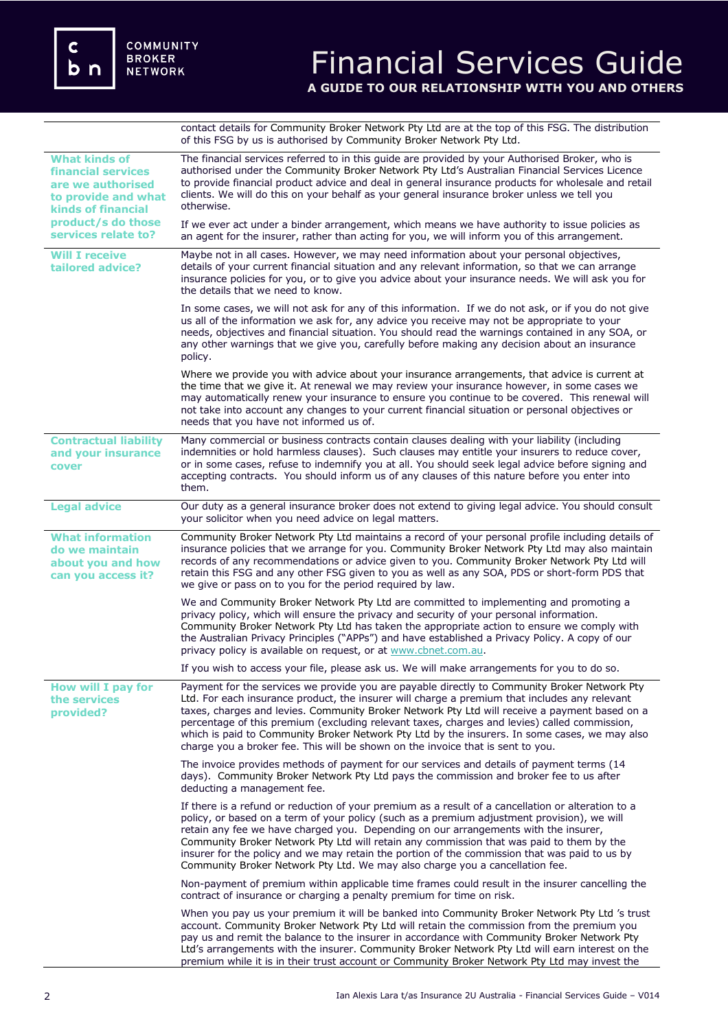C  **n** 

contact details for Community Broker Network Pty Ltd are at the top of this FSG. The distribution of this FSG by us is authorised by Community Broker Network Pty Ltd.

| <b>What kinds of</b><br><b>financial services</b><br>are we authorised<br>to provide and what<br><b>kinds of financial</b> | The financial services referred to in this guide are provided by your Authorised Broker, who is<br>authorised under the Community Broker Network Pty Ltd's Australian Financial Services Licence<br>to provide financial product advice and deal in general insurance products for wholesale and retail<br>clients. We will do this on your behalf as your general insurance broker unless we tell you<br>otherwise.                                                                                                                                                               |
|----------------------------------------------------------------------------------------------------------------------------|------------------------------------------------------------------------------------------------------------------------------------------------------------------------------------------------------------------------------------------------------------------------------------------------------------------------------------------------------------------------------------------------------------------------------------------------------------------------------------------------------------------------------------------------------------------------------------|
| product/s do those<br>services relate to?                                                                                  | If we ever act under a binder arrangement, which means we have authority to issue policies as<br>an agent for the insurer, rather than acting for you, we will inform you of this arrangement.                                                                                                                                                                                                                                                                                                                                                                                     |
| <b>Will I receive</b><br>tailored advice?                                                                                  | Maybe not in all cases. However, we may need information about your personal objectives,<br>details of your current financial situation and any relevant information, so that we can arrange<br>insurance policies for you, or to give you advice about your insurance needs. We will ask you for<br>the details that we need to know.                                                                                                                                                                                                                                             |
|                                                                                                                            | In some cases, we will not ask for any of this information. If we do not ask, or if you do not give<br>us all of the information we ask for, any advice you receive may not be appropriate to your<br>needs, objectives and financial situation. You should read the warnings contained in any SOA, or<br>any other warnings that we give you, carefully before making any decision about an insurance<br>policy.                                                                                                                                                                  |
|                                                                                                                            | Where we provide you with advice about your insurance arrangements, that advice is current at<br>the time that we give it. At renewal we may review your insurance however, in some cases we<br>may automatically renew your insurance to ensure you continue to be covered. This renewal will<br>not take into account any changes to your current financial situation or personal objectives or<br>needs that you have not informed us of.                                                                                                                                       |
| <b>Contractual liability</b><br>and your insurance<br>cover                                                                | Many commercial or business contracts contain clauses dealing with your liability (including<br>indemnities or hold harmless clauses). Such clauses may entitle your insurers to reduce cover,<br>or in some cases, refuse to indemnify you at all. You should seek legal advice before signing and<br>accepting contracts. You should inform us of any clauses of this nature before you enter into<br>them.                                                                                                                                                                      |
| <b>Legal advice</b>                                                                                                        | Our duty as a general insurance broker does not extend to giving legal advice. You should consult<br>your solicitor when you need advice on legal matters.                                                                                                                                                                                                                                                                                                                                                                                                                         |
| <b>What information</b><br>do we maintain<br>about you and how<br>can you access it?                                       | Community Broker Network Pty Ltd maintains a record of your personal profile including details of<br>insurance policies that we arrange for you. Community Broker Network Pty Ltd may also maintain<br>records of any recommendations or advice given to you. Community Broker Network Pty Ltd will<br>retain this FSG and any other FSG given to you as well as any SOA, PDS or short-form PDS that<br>we give or pass on to you for the period required by law.                                                                                                                  |
|                                                                                                                            | We and Community Broker Network Pty Ltd are committed to implementing and promoting a<br>privacy policy, which will ensure the privacy and security of your personal information.<br>Community Broker Network Pty Ltd has taken the appropriate action to ensure we comply with<br>the Australian Privacy Principles ("APPs") and have established a Privacy Policy. A copy of our<br>privacy policy is available on request, or at www.cbnet.com.au.                                                                                                                              |
|                                                                                                                            | If you wish to access your file, please ask us. We will make arrangements for you to do so.                                                                                                                                                                                                                                                                                                                                                                                                                                                                                        |
| <b>How will I pay for</b><br>the services<br>provided?                                                                     | Payment for the services we provide you are payable directly to Community Broker Network Pty<br>Ltd. For each insurance product, the insurer will charge a premium that includes any relevant<br>taxes, charges and levies. Community Broker Network Pty Ltd will receive a payment based on a<br>percentage of this premium (excluding relevant taxes, charges and levies) called commission,<br>which is paid to Community Broker Network Pty Ltd by the insurers. In some cases, we may also<br>charge you a broker fee. This will be shown on the invoice that is sent to you. |
|                                                                                                                            | The invoice provides methods of payment for our services and details of payment terms (14<br>days). Community Broker Network Pty Ltd pays the commission and broker fee to us after<br>deducting a management fee.                                                                                                                                                                                                                                                                                                                                                                 |
|                                                                                                                            | If there is a refund or reduction of your premium as a result of a cancellation or alteration to a<br>policy, or based on a term of your policy (such as a premium adjustment provision), we will<br>retain any fee we have charged you. Depending on our arrangements with the insurer,<br>Community Broker Network Pty Ltd will retain any commission that was paid to them by the<br>insurer for the policy and we may retain the portion of the commission that was paid to us by<br>Community Broker Network Pty Ltd. We may also charge you a cancellation fee.              |
|                                                                                                                            | Non-payment of premium within applicable time frames could result in the insurer cancelling the<br>contract of insurance or charging a penalty premium for time on risk.                                                                                                                                                                                                                                                                                                                                                                                                           |
|                                                                                                                            | When you pay us your premium it will be banked into Community Broker Network Pty Ltd 's trust<br>account. Community Broker Network Pty Ltd will retain the commission from the premium you<br>pay us and remit the balance to the insurer in accordance with Community Broker Network Pty<br>Ltd's arrangements with the insurer. Community Broker Network Pty Ltd will earn interest on the<br>premium while it is in their trust account or Community Broker Network Pty Ltd may invest the                                                                                      |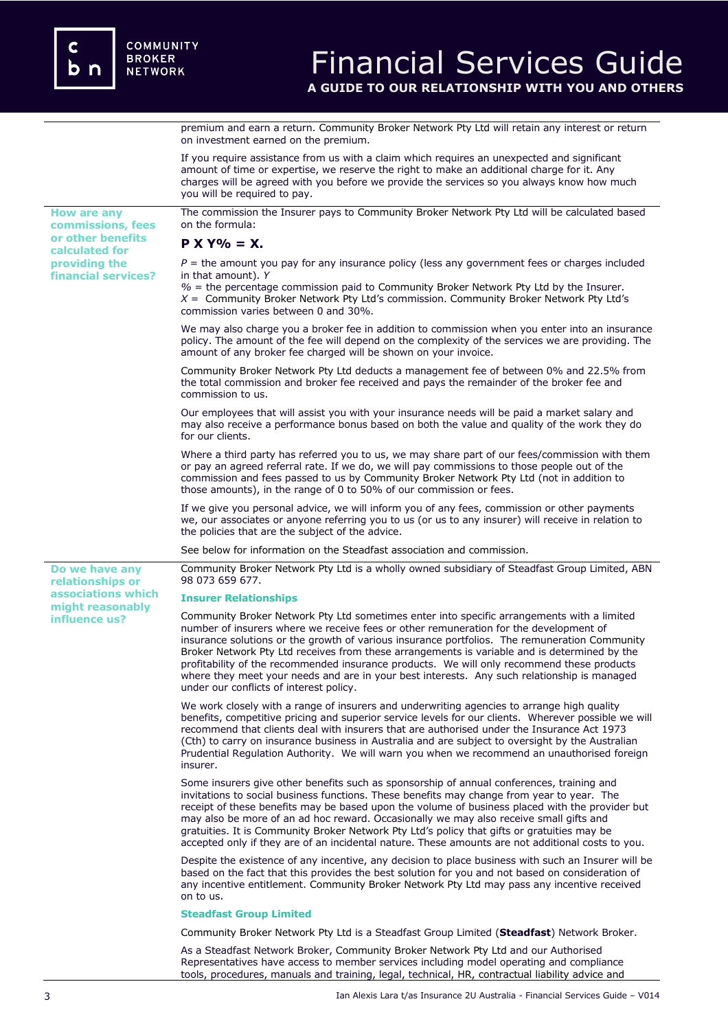premium and earn a return. Community Broker Network Pty Ltd will retain any interest or return on investment earned on the premium.

If you require assistance from us with a claim which requires an unexpected and significant amount of time or expertise, we reserve the right to make an additional charge for it. Any charges will be agreed with you before we provide the services so you always know how much you will be required to pay. **How are any commissions, fees or other benefits calculated for providing the financial services?** The commission the Insurer pays to Community Broker Network Pty Ltd will be calculated based on the formula: **P X Y% = X.**  $P =$  the amount you pay for any insurance policy (less any government fees or charges included in that amount). *Y %* = the percentage commission paid to Community Broker Network Pty Ltd by the Insurer. *X* = Community Broker Network Pty Ltd's commission. Community Broker Network Pty Ltd's commission varies between 0 and 30%. We may also charge you a broker fee in addition to commission when you enter into an insurance policy. The amount of the fee will depend on the complexity of the services we are providing. The amount of any broker fee charged will be shown on your invoice. Community Broker Network Pty Ltd deducts a management fee of between 0% and 22.5% from the total commission and broker fee received and pays the remainder of the broker fee and commission to us. Our employees that will assist you with your insurance needs will be paid a market salary and may also receive a performance bonus based on both the value and quality of the work they do for our clients. Where a third party has referred you to us, we may share part of our fees/commission with them or pay an agreed referral rate. If we do, we will pay commissions to those people out of the commission and fees passed to us by Community Broker Network Pty Ltd (not in addition to those amounts), in the range of 0 to 50% of our commission or fees. If we give you personal advice, we will inform you of any fees, commission or other payments we, our associates or anyone referring you to us (or us to any insurer) will receive in relation to the policies that are the subject of the advice. See below for information on the Steadfast association and commission. **Do we have any relationships or associations which might reasonably influence us?**  Community Broker Network Pty Ltd is a wholly owned subsidiary of Steadfast Group Limited, ABN 98 073 659 677. **Insurer Relationships**  Community Broker Network Pty Ltd sometimes enter into specific arrangements with a limited number of insurers where we receive fees or other remuneration for the development of insurance solutions or the growth of various insurance portfolios. The remuneration Community Broker Network Pty Ltd receives from these arrangements is variable and is determined by the profitability of the recommended insurance products. We will only recommend these products where they meet your needs and are in your best interests. Any such relationship is managed under our conflicts of interest policy. We work closely with a range of insurers and underwriting agencies to arrange high quality benefits, competitive pricing and superior service levels for our clients. Wherever possible we will recommend that clients deal with insurers that are authorised under the Insurance Act 1973 (Cth) to carry on insurance business in Australia and are subject to oversight by the Australian Prudential Regulation Authority. We will warn you when we recommend an unauthorised foreign insurer. Some insurers give other benefits such as sponsorship of annual conferences, training and invitations to social business functions. These benefits may change from year to year. The receipt of these benefits may be based upon the volume of business placed with the provider but may also be more of an ad hoc reward. Occasionally we may also receive small gifts and gratuities. It is Community Broker Network Pty Ltd's policy that gifts or gratuities may be accepted only if they are of an incidental nature. These amounts are not additional costs to you. Despite the existence of any incentive, any decision to place business with such an Insurer will be based on the fact that this provides the best solution for you and not based on consideration of any incentive entitlement. Community Broker Network Pty Ltd may pass any incentive received on to us. **Steadfast Group Limited** Community Broker Network Pty Ltd is a Steadfast Group Limited (**Steadfast**) Network Broker. As a Steadfast Network Broker, Community Broker Network Pty Ltd and our Authorised Representatives have access to member services including model operating and compliance

tools, procedures, manuals and training, legal, technical, HR, contractual liability advice and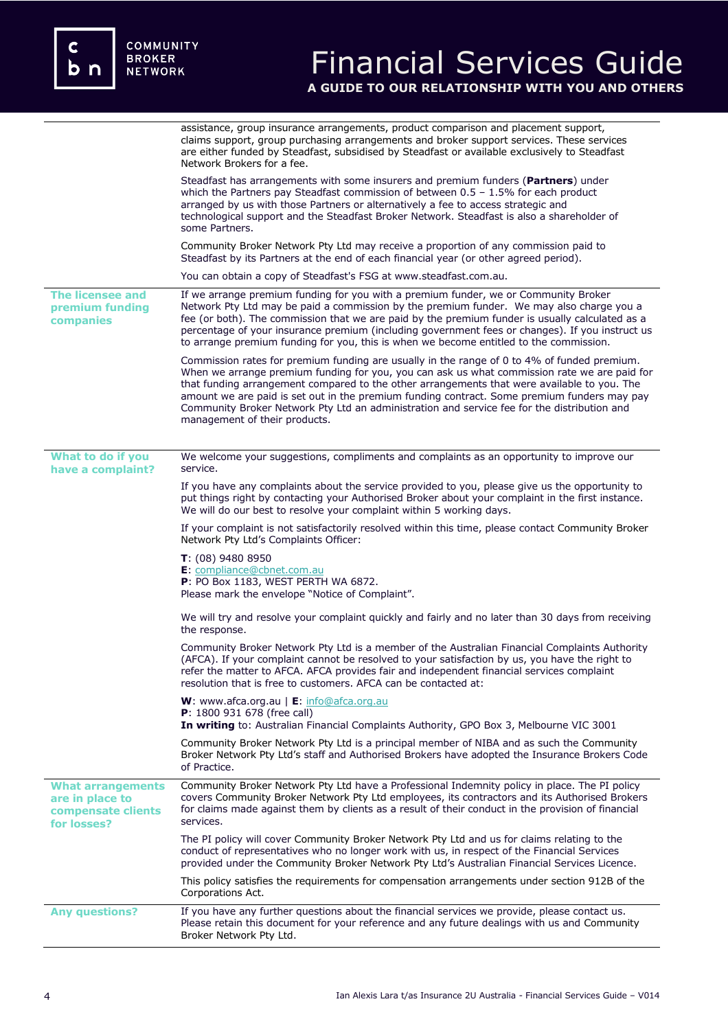|                                                                                  | assistance, group insurance arrangements, product comparison and placement support,<br>claims support, group purchasing arrangements and broker support services. These services<br>are either funded by Steadfast, subsidised by Steadfast or available exclusively to Steadfast<br>Network Brokers for a fee.                                                                                                                                                                                                           |
|----------------------------------------------------------------------------------|---------------------------------------------------------------------------------------------------------------------------------------------------------------------------------------------------------------------------------------------------------------------------------------------------------------------------------------------------------------------------------------------------------------------------------------------------------------------------------------------------------------------------|
|                                                                                  | Steadfast has arrangements with some insurers and premium funders (Partners) under<br>which the Partners pay Steadfast commission of between $0.5 - 1.5\%$ for each product<br>arranged by us with those Partners or alternatively a fee to access strategic and<br>technological support and the Steadfast Broker Network. Steadfast is also a shareholder of<br>some Partners.                                                                                                                                          |
|                                                                                  | Community Broker Network Pty Ltd may receive a proportion of any commission paid to<br>Steadfast by its Partners at the end of each financial year (or other agreed period).                                                                                                                                                                                                                                                                                                                                              |
|                                                                                  | You can obtain a copy of Steadfast's FSG at www.steadfast.com.au.                                                                                                                                                                                                                                                                                                                                                                                                                                                         |
| The licensee and<br>premium funding<br>companies                                 | If we arrange premium funding for you with a premium funder, we or Community Broker<br>Network Pty Ltd may be paid a commission by the premium funder. We may also charge you a<br>fee (or both). The commission that we are paid by the premium funder is usually calculated as a<br>percentage of your insurance premium (including government fees or changes). If you instruct us<br>to arrange premium funding for you, this is when we become entitled to the commission.                                           |
|                                                                                  | Commission rates for premium funding are usually in the range of 0 to 4% of funded premium.<br>When we arrange premium funding for you, you can ask us what commission rate we are paid for<br>that funding arrangement compared to the other arrangements that were available to you. The<br>amount we are paid is set out in the premium funding contract. Some premium funders may pay<br>Community Broker Network Pty Ltd an administration and service fee for the distribution and<br>management of their products. |
| What to do if you<br>have a complaint?                                           | We welcome your suggestions, compliments and complaints as an opportunity to improve our<br>service.                                                                                                                                                                                                                                                                                                                                                                                                                      |
|                                                                                  | If you have any complaints about the service provided to you, please give us the opportunity to<br>put things right by contacting your Authorised Broker about your complaint in the first instance.<br>We will do our best to resolve your complaint within 5 working days.                                                                                                                                                                                                                                              |
|                                                                                  | If your complaint is not satisfactorily resolved within this time, please contact Community Broker<br>Network Pty Ltd's Complaints Officer:                                                                                                                                                                                                                                                                                                                                                                               |
|                                                                                  | $T: (08)$ 9480 8950<br>E: compliance@cbnet.com.au<br>P: PO Box 1183, WEST PERTH WA 6872.<br>Please mark the envelope "Notice of Complaint".                                                                                                                                                                                                                                                                                                                                                                               |
|                                                                                  | We will try and resolve your complaint quickly and fairly and no later than 30 days from receiving<br>the response.                                                                                                                                                                                                                                                                                                                                                                                                       |
|                                                                                  | Community Broker Network Pty Ltd is a member of the Australian Financial Complaints Authority<br>(AFCA). If your complaint cannot be resolved to your satisfaction by us, you have the right to<br>refer the matter to AFCA. AFCA provides fair and independent financial services complaint<br>resolution that is free to customers. AFCA can be contacted at:                                                                                                                                                           |
|                                                                                  | W: www.afca.org.au   E: info@afca.org.au<br>P: 1800 931 678 (free call)<br>In writing to: Australian Financial Complaints Authority, GPO Box 3, Melbourne VIC 3001                                                                                                                                                                                                                                                                                                                                                        |
|                                                                                  | Community Broker Network Pty Ltd is a principal member of NIBA and as such the Community<br>Broker Network Pty Ltd's staff and Authorised Brokers have adopted the Insurance Brokers Code<br>of Practice.                                                                                                                                                                                                                                                                                                                 |
| <b>What arrangements</b><br>are in place to<br>compensate clients<br>for losses? | Community Broker Network Pty Ltd have a Professional Indemnity policy in place. The PI policy<br>covers Community Broker Network Pty Ltd employees, its contractors and its Authorised Brokers<br>for claims made against them by clients as a result of their conduct in the provision of financial<br>services.                                                                                                                                                                                                         |
|                                                                                  | The PI policy will cover Community Broker Network Pty Ltd and us for claims relating to the<br>conduct of representatives who no longer work with us, in respect of the Financial Services<br>provided under the Community Broker Network Pty Ltd's Australian Financial Services Licence.                                                                                                                                                                                                                                |
|                                                                                  | This policy satisfies the requirements for compensation arrangements under section 912B of the<br>Corporations Act.                                                                                                                                                                                                                                                                                                                                                                                                       |
| <b>Any questions?</b>                                                            | If you have any further questions about the financial services we provide, please contact us.<br>Please retain this document for your reference and any future dealings with us and Community<br>Broker Network Pty Ltd.                                                                                                                                                                                                                                                                                                  |